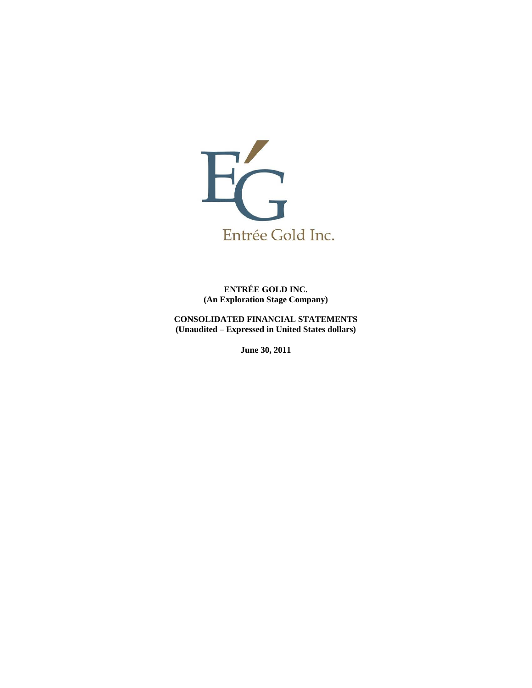

**ENTRÉE GOLD INC. (An Exploration Stage Company)** 

**CONSOLIDATED FINANCIAL STATEMENTS (Unaudited – Expressed in United States dollars)** 

**June 30, 2011**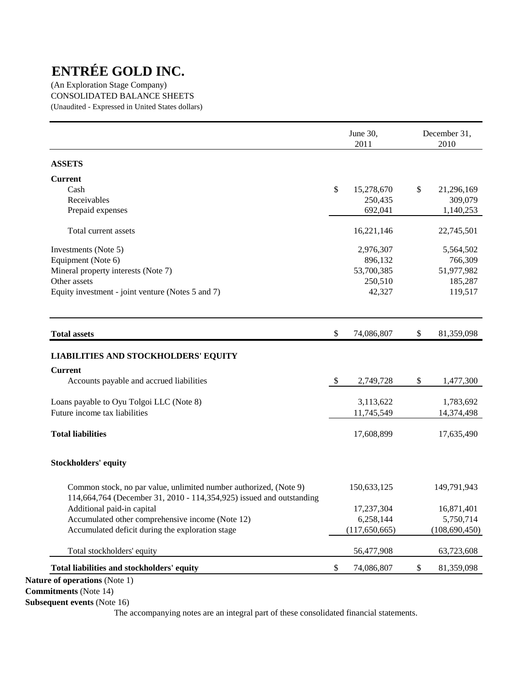(An Exploration Stage Company) CONSOLIDATED BALANCE SHEETS (Unaudited - Expressed in United States dollars)

|                                                                                                                                           |                           | June 30,<br>2011 | December 31,<br>2010 |
|-------------------------------------------------------------------------------------------------------------------------------------------|---------------------------|------------------|----------------------|
| <b>ASSETS</b>                                                                                                                             |                           |                  |                      |
| <b>Current</b>                                                                                                                            |                           |                  |                      |
| Cash                                                                                                                                      | \$                        | 15,278,670       | \$<br>21,296,169     |
| Receivables                                                                                                                               |                           | 250,435          | 309,079              |
| Prepaid expenses                                                                                                                          |                           | 692,041          | 1,140,253            |
| Total current assets                                                                                                                      |                           | 16,221,146       | 22,745,501           |
| Investments (Note 5)                                                                                                                      |                           | 2,976,307        | 5,564,502            |
| Equipment (Note 6)                                                                                                                        |                           | 896,132          | 766,309              |
| Mineral property interests (Note 7)                                                                                                       |                           | 53,700,385       | 51,977,982           |
| Other assets                                                                                                                              |                           | 250,510          | 185,287              |
| Equity investment - joint venture (Notes 5 and 7)                                                                                         |                           | 42,327           | 119,517              |
| <b>Total assets</b>                                                                                                                       | $\boldsymbol{\mathsf{S}}$ | 74,086,807       | \$<br>81,359,098     |
| <b>Current</b><br>Accounts payable and accrued liabilities                                                                                | \$                        | 2,749,728        | \$<br>1,477,300      |
| Loans payable to Oyu Tolgoi LLC (Note 8)                                                                                                  |                           | 3,113,622        | 1,783,692            |
| Future income tax liabilities                                                                                                             |                           | 11,745,549       | 14,374,498           |
| <b>Total liabilities</b>                                                                                                                  |                           | 17,608,899       | 17,635,490           |
| <b>Stockholders' equity</b>                                                                                                               |                           |                  |                      |
| Common stock, no par value, unlimited number authorized, (Note 9)<br>114,664,764 (December 31, 2010 - 114,354,925) issued and outstanding |                           | 150,633,125      | 149,791,943          |
| Additional paid-in capital                                                                                                                |                           | 17,237,304       | 16,871,401           |
| Accumulated other comprehensive income (Note 12)                                                                                          |                           | 6,258,144        | 5,750,714            |
| Accumulated deficit during the exploration stage                                                                                          |                           | (117, 650, 665)  | (108, 690, 450)      |
| Total stockholders' equity                                                                                                                |                           | 56,477,908       | 63,723,608           |
|                                                                                                                                           |                           |                  |                      |

**Commitments** (Note 14)

**Subsequent events** (Note 16)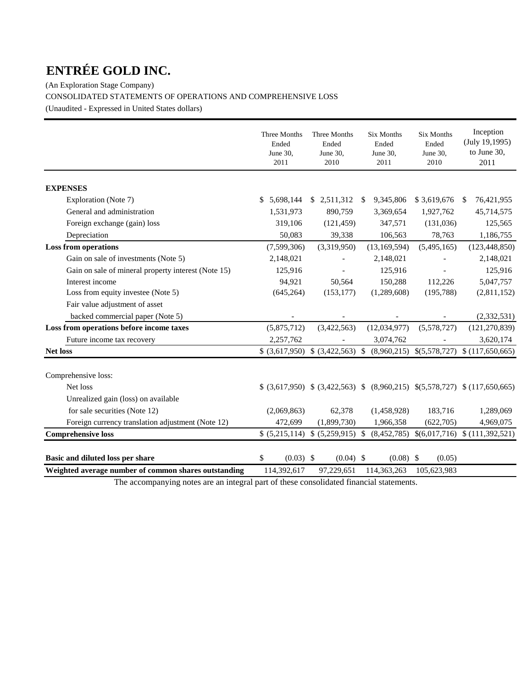(An Exploration Stage Company) CONSOLIDATED STATEMENTS OF OPERATIONS AND COMPREHENSIVE LOSS (Unaudited - Expressed in United States dollars)

|                                                      | Three Months<br>Ended<br>June 30,<br>2011 | Three Months<br>Ended<br>June 30,<br>2010 | <b>Six Months</b><br>Ended<br>June 30,<br>2011 | <b>Six Months</b><br>Ended<br>June 30,<br>2010 | Inception<br>(July 19,1995)<br>to June 30,<br>2011                      |
|------------------------------------------------------|-------------------------------------------|-------------------------------------------|------------------------------------------------|------------------------------------------------|-------------------------------------------------------------------------|
| <b>EXPENSES</b>                                      |                                           |                                           |                                                |                                                |                                                                         |
| Exploration (Note 7)                                 | 5,698,144<br>S.                           | \$2,511,312                               | 9,345,806<br>-S                                | \$3,619,676                                    | 76,421,955<br>-S                                                        |
| General and administration                           | 1,531,973                                 | 890,759                                   | 3,369,654                                      | 1,927,762                                      | 45,714,575                                                              |
| Foreign exchange (gain) loss                         | 319,106                                   | (121, 459)                                | 347,571                                        | (131,036)                                      | 125,565                                                                 |
| Depreciation                                         | 50,083                                    | 39,338                                    | 106,563                                        | 78,763                                         | 1,186,755                                                               |
| <b>Loss from operations</b>                          | (7,599,306)                               | (3,319,950)                               | (13, 169, 594)                                 | (5,495,165)                                    | (123, 448, 850)                                                         |
| Gain on sale of investments (Note 5)                 | 2,148,021                                 |                                           | 2,148,021                                      |                                                | 2,148,021                                                               |
| Gain on sale of mineral property interest (Note 15)  | 125,916                                   |                                           | 125,916                                        |                                                | 125,916                                                                 |
| Interest income                                      | 94,921                                    | 50,564                                    | 150,288                                        | 112,226                                        | 5,047,757                                                               |
| Loss from equity investee (Note 5)                   | (645, 264)                                | (153, 177)                                | (1,289,608)                                    | (195, 788)                                     | (2,811,152)                                                             |
| Fair value adjustment of asset                       |                                           |                                           |                                                |                                                |                                                                         |
| backed commercial paper (Note 5)                     |                                           |                                           |                                                |                                                | (2,332,531)                                                             |
| Loss from operations before income taxes             | (5,875,712)                               | (3,422,563)                               | (12,034,977)                                   | (5,578,727)                                    | (121, 270, 839)                                                         |
| Future income tax recovery                           | 2,257,762                                 |                                           | 3,074,762                                      |                                                | 3,620,174                                                               |
| <b>Net loss</b>                                      |                                           | $(3,617,950)$ $(3,422,563)$ \$            | (8,960,215)                                    | \$(5,578,727)                                  | \$(117,650,665)                                                         |
| Comprehensive loss:                                  |                                           |                                           |                                                |                                                |                                                                         |
| Net loss                                             |                                           |                                           |                                                |                                                | $(3,617,950)$ $(3,422,563)$ $(8,960,215)$ $(5,578,727)$ $(117,650,665)$ |
| Unrealized gain (loss) on available                  |                                           |                                           |                                                |                                                |                                                                         |
| for sale securities (Note 12)                        | (2,069,863)                               | 62,378                                    | (1,458,928)                                    | 183,716                                        | 1,289,069                                                               |
| Foreign currency translation adjustment (Note 12)    | 472,699                                   | (1,899,730)                               | 1,966,358                                      | (622,705)                                      | 4,969,075                                                               |
| <b>Comprehensive loss</b>                            |                                           | \$ (5,215,114) \$ (5,259,915) \$          |                                                |                                                | $(8,452,785)$ \$ $(6,017,716)$ \$ $(111,392,521)$                       |
| Basic and diluted loss per share                     | \$<br>$(0.03)$ \$                         | $(0.04)$ \$                               | $(0.08)$ \$                                    | (0.05)                                         |                                                                         |
| Weighted average number of common shares outstanding | 114,392,617                               | 97,229,651                                | 114,363,263                                    | 105,623,983                                    |                                                                         |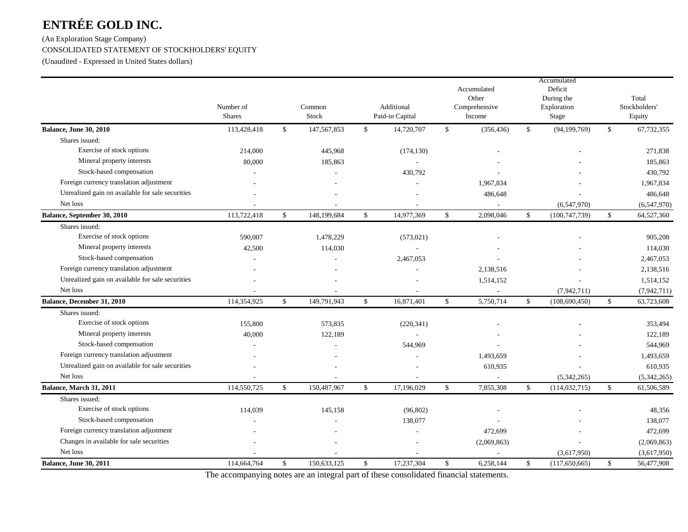# (An Exploration Stage Company) CONSOLIDATED STATEMENT OF STOCKHOLDERS' EQUITY

(Unaudited - Expressed in United States dollars)

|                                                  | Number of<br><b>Shares</b> |              | Common<br>Stock |              | Additional<br>Paid-in Capital |              | Accumulated<br>Other<br>Comprehensive<br>Income |                    | Accumulated<br>Deficit<br>During the<br>Exploration<br>Stage |               | Total<br>Stockholders'<br>Equity |
|--------------------------------------------------|----------------------------|--------------|-----------------|--------------|-------------------------------|--------------|-------------------------------------------------|--------------------|--------------------------------------------------------------|---------------|----------------------------------|
| Balance, June 30, 2010                           | 113,428,418                | \$           | 147, 567, 853   | \$           | 14,720,707                    | \$           | (356, 436)                                      | $\mathbf{\hat{S}}$ | (94, 199, 769)                                               | \$            | 67,732,355                       |
| Shares issued:                                   |                            |              |                 |              |                               |              |                                                 |                    |                                                              |               |                                  |
| Exercise of stock options                        | 214,000                    |              | 445,968         |              | (174, 130)                    |              |                                                 |                    |                                                              |               | 271,838                          |
| Mineral property interests                       | 80,000                     |              | 185,863         |              |                               |              |                                                 |                    |                                                              |               | 185,863                          |
| Stock-based compensation                         |                            |              |                 |              | 430,792                       |              |                                                 |                    |                                                              |               | 430,792                          |
| Foreign currency translation adjustment          |                            |              |                 |              |                               |              | 1,967,834                                       |                    |                                                              |               | 1,967,834                        |
| Unrealized gain on available for sale securities |                            |              |                 |              |                               |              | 486,648                                         |                    |                                                              |               | 486,648                          |
| Net loss                                         |                            |              |                 |              |                               |              | $\overline{\phantom{a}}$                        |                    | (6,547,970)                                                  |               | (6,547,970)                      |
| Balance, September 30, 2010                      | 113,722,418                | \$           | 148,199,684     | \$           | 14,977,369                    | \$           | 2,098,046                                       | $\mathbb{S}$       | (100, 747, 739)                                              | \$            | 64,527,360                       |
| Shares issued:                                   |                            |              |                 |              |                               |              |                                                 |                    |                                                              |               |                                  |
| Exercise of stock options                        | 590,007                    |              | 1,478,229       |              | (573, 021)                    |              |                                                 |                    |                                                              |               | 905,208                          |
| Mineral property interests                       | 42,500                     |              | 114,030         |              |                               |              |                                                 |                    |                                                              |               | 114,030                          |
| Stock-based compensation                         |                            |              |                 |              | 2,467,053                     |              |                                                 |                    |                                                              |               | 2,467,053                        |
| Foreign currency translation adjustment          |                            |              |                 |              |                               |              | 2,138,516                                       |                    |                                                              |               | 2,138,516                        |
| Unrealized gain on available for sale securities |                            |              |                 |              |                               |              | 1,514,152                                       |                    |                                                              |               | 1,514,152                        |
| Net loss                                         |                            |              |                 |              |                               |              | $\sim$                                          |                    | (7,942,711)                                                  |               | (7, 942, 711)                    |
| Balance, December 31, 2010                       | 114,354,925                | $\mathbb{S}$ | 149,791,943     | $\mathbf{s}$ | 16,871,401                    | $\mathbb{S}$ | 5,750,714                                       | $\mathbb{S}$       | (108, 690, 450)                                              | $\mathcal{S}$ | 63,723,608                       |
| Shares issued:                                   |                            |              |                 |              |                               |              |                                                 |                    |                                                              |               |                                  |
| Exercise of stock options                        | 155,800                    |              | 573,835         |              | (220, 341)                    |              |                                                 |                    |                                                              |               | 353,494                          |
| Mineral property interests                       | 40,000                     |              | 122,189         |              |                               |              |                                                 |                    |                                                              |               | 122,189                          |
| Stock-based compensation                         |                            |              |                 |              | 544,969                       |              |                                                 |                    |                                                              |               | 544,969                          |
| Foreign currency translation adjustment          |                            |              |                 |              |                               |              | 1,493,659                                       |                    |                                                              |               | 1,493,659                        |
| Unrealized gain on available for sale securities |                            |              |                 |              |                               |              | 610,935                                         |                    |                                                              |               | 610,935                          |
| Net loss                                         |                            |              |                 |              |                               |              | $\overline{a}$                                  |                    | (5,342,265)                                                  |               | (5,342,265)                      |
| Balance, March 31, 2011                          | 114,550,725                | \$           | 150,487,967     | $\mathbb{S}$ | 17,196,029                    | $\mathbb{S}$ | 7,855,308                                       | $\mathbf{\hat{S}}$ | (114, 032, 715)                                              | \$            | 61,506,589                       |
| Shares issued:                                   |                            |              |                 |              |                               |              |                                                 |                    |                                                              |               |                                  |
| Exercise of stock options                        | 114,039                    |              | 145,158         |              | (96, 802)                     |              |                                                 |                    |                                                              |               | 48,356                           |
| Stock-based compensation                         |                            |              |                 |              | 138,077                       |              |                                                 |                    |                                                              |               | 138,077                          |
| Foreign currency translation adjustment          |                            |              |                 |              |                               |              | 472,699                                         |                    |                                                              |               | 472,699                          |
| Changes in available for sale securities         |                            |              |                 |              |                               |              | (2,069,863)                                     |                    |                                                              |               | (2,069,863)                      |
| Net loss                                         |                            |              |                 |              |                               |              |                                                 |                    | (3,617,950)                                                  |               | (3,617,950)                      |
| Balance, June 30, 2011                           | 114,664,764                | \$           | 150,633,125     | \$           | 17,237,304                    | $\mathbb{S}$ | 6,258,144                                       | $\mathbf{\hat{S}}$ | (117,650,665)                                                | \$            | 56,477,908                       |
|                                                  |                            |              |                 |              |                               |              |                                                 |                    |                                                              |               |                                  |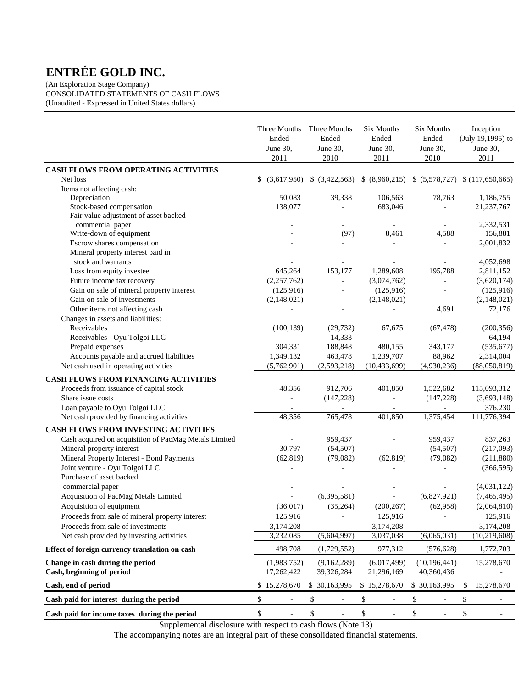(An Exploration Stage Company) CONSOLIDATED STATEMENTS OF CASH FLOWS (Unaudited - Expressed in United States dollars)

|                                                                   | Three Months<br>Ended<br>June 30,<br>2011 | Three Months<br>Ended<br>June 30,<br>2010 |                          | <b>Six Months</b><br>Ended<br>June 30,<br>2011 | Six Months<br>Ended<br>June 30,<br>2010                                             | Inception<br>(July 19,1995) to<br>June 30,<br>2011 |
|-------------------------------------------------------------------|-------------------------------------------|-------------------------------------------|--------------------------|------------------------------------------------|-------------------------------------------------------------------------------------|----------------------------------------------------|
| CASH FLOWS FROM OPERATING ACTIVITIES                              |                                           |                                           |                          |                                                |                                                                                     |                                                    |
| Net loss                                                          | \$                                        |                                           |                          |                                                | $(3,617,950)$ \$ $(3,422,563)$ \$ $(8,960,215)$ \$ $(5,578,727)$ \$ $(117,650,665)$ |                                                    |
| Items not affecting cash:                                         |                                           |                                           |                          |                                                |                                                                                     |                                                    |
| Depreciation                                                      | 50,083                                    |                                           | 39,338                   | 106,563                                        | 78,763                                                                              | 1,186,755                                          |
| Stock-based compensation<br>Fair value adjustment of asset backed | 138,077                                   |                                           |                          | 683,046                                        |                                                                                     | 21,237,767                                         |
| commercial paper                                                  |                                           |                                           |                          |                                                |                                                                                     | 2,332,531                                          |
| Write-down of equipment                                           |                                           |                                           | (97)                     | 8,461                                          | 4,588                                                                               | 156,881                                            |
| Escrow shares compensation                                        |                                           |                                           |                          |                                                |                                                                                     | 2,001,832                                          |
| Mineral property interest paid in                                 |                                           |                                           |                          |                                                |                                                                                     |                                                    |
| stock and warrants                                                |                                           |                                           |                          |                                                |                                                                                     | 4,052,698                                          |
| Loss from equity investee                                         | 645,264                                   |                                           | 153,177                  | 1,289,608                                      | 195,788                                                                             | 2,811,152                                          |
| Future income tax recovery                                        | (2,257,762)                               |                                           | $\overline{a}$           | (3,074,762)                                    | $\overline{\phantom{a}}$                                                            | (3,620,174)                                        |
| Gain on sale of mineral property interest                         | (125, 916)                                |                                           | $\overline{a}$           | (125,916)                                      |                                                                                     | (125, 916)                                         |
| Gain on sale of investments                                       | (2,148,021)                               |                                           | $\overline{\phantom{a}}$ | (2,148,021)                                    |                                                                                     | (2,148,021)                                        |
| Other items not affecting cash                                    |                                           |                                           |                          |                                                | 4,691                                                                               | 72,176                                             |
| Changes in assets and liabilities:                                |                                           |                                           |                          |                                                |                                                                                     |                                                    |
| Receivables                                                       | (100, 139)                                |                                           | (29, 732)                | 67,675                                         | (67, 478)                                                                           | (200, 356)                                         |
| Receivables - Oyu Tolgoi LLC                                      |                                           |                                           | 14,333                   |                                                |                                                                                     | 64,194                                             |
| Prepaid expenses                                                  | 304,331                                   |                                           | 188,848                  | 480,155                                        | 343,177                                                                             | (535, 677)                                         |
| Accounts payable and accrued liabilities                          | 1,349,132                                 |                                           | 463,478                  | 1,239,707                                      | 88,962                                                                              | 2,314,004                                          |
| Net cash used in operating activities                             | (5,762,901)                               | (2, 593, 218)                             |                          | (10, 433, 699)                                 | (4,930,236)                                                                         | (88,050,819)                                       |
| CASH FLOWS FROM FINANCING ACTIVITIES                              |                                           |                                           |                          |                                                |                                                                                     |                                                    |
| Proceeds from issuance of capital stock                           | 48,356                                    |                                           | 912,706                  | 401,850                                        | 1,522,682                                                                           | 115,093,312                                        |
| Share issue costs                                                 |                                           |                                           | (147, 228)               |                                                | (147, 228)                                                                          | (3,693,148)                                        |
| Loan payable to Oyu Tolgoi LLC                                    |                                           |                                           |                          |                                                |                                                                                     | 376,230                                            |
| Net cash provided by financing activities                         | 48,356                                    |                                           | 765,478                  | 401,850                                        | 1,375,454                                                                           | 111,776,394                                        |
| CASH FLOWS FROM INVESTING ACTIVITIES                              |                                           |                                           |                          |                                                |                                                                                     |                                                    |
| Cash acquired on acquisition of PacMag Metals Limited             |                                           |                                           | 959,437                  |                                                | 959,437                                                                             | 837,263                                            |
| Mineral property interest                                         | 30,797                                    |                                           | (54, 507)                |                                                | (54, 507)                                                                           | (217,093)                                          |
| Mineral Property Interest - Bond Payments                         | (62, 819)                                 |                                           | (79,082)                 | (62, 819)                                      | (79,082)                                                                            | (211, 880)                                         |
| Joint venture - Oyu Tolgoi LLC                                    |                                           |                                           |                          |                                                |                                                                                     | (366, 595)                                         |
| Purchase of asset backed                                          |                                           |                                           |                          |                                                |                                                                                     |                                                    |
| commercial paper                                                  |                                           |                                           |                          |                                                |                                                                                     | (4,031,122)                                        |
| Acquisition of PacMag Metals Limited                              |                                           | (6,395,581)                               |                          |                                                | (6,827,921)                                                                         | (7,465,495)                                        |
| Acquisition of equipment                                          | (36,017)                                  |                                           | (35, 264)                | (200, 267)                                     | (62,958)                                                                            | (2,064,810)                                        |
| Proceeds from sale of mineral property interest                   | 125,916                                   |                                           |                          | 125,916                                        |                                                                                     | 125,916                                            |
| Proceeds from sale of investments                                 | 3,174,208                                 |                                           |                          | 3,174,208                                      |                                                                                     | 3,174,208                                          |
| Net cash provided by investing activities                         | 3,232,085                                 | (5,604,997)                               |                          | 3,037,038                                      | (6,065,031)                                                                         | (10, 219, 608)                                     |
| Effect of foreign currency translation on cash                    | 498,708                                   | (1,729,552)                               |                          | 977,312                                        | (576, 628)                                                                          | 1,772,703                                          |
| Change in cash during the period                                  | (1,983,752)                               | (9,162,289)                               |                          | (6,017,499)                                    | (10, 196, 441)                                                                      | 15,278,670                                         |
| Cash, beginning of period                                         | 17,262,422                                | 39,326,284                                |                          | 21,296,169                                     | 40,360,436                                                                          |                                                    |
| Cash, end of period                                               | \$15,278,670                              | \$ 30,163,995                             |                          | \$15,278,670                                   | \$30,163,995                                                                        | \$<br>15,278,670                                   |
| Cash paid for interest during the period                          | \$                                        | \$                                        |                          | \$                                             | \$<br>$\overline{\phantom{0}}$                                                      | \$                                                 |
| Cash paid for income taxes during the period                      | \$<br>$\overline{a}$                      | \$                                        | $\overline{a}$           | \$<br>$\overline{\phantom{a}}$                 | \$<br>$\frac{1}{2}$                                                                 | \$<br>$\blacksquare$                               |

Supplemental disclosure with respect to cash flows (Note 13)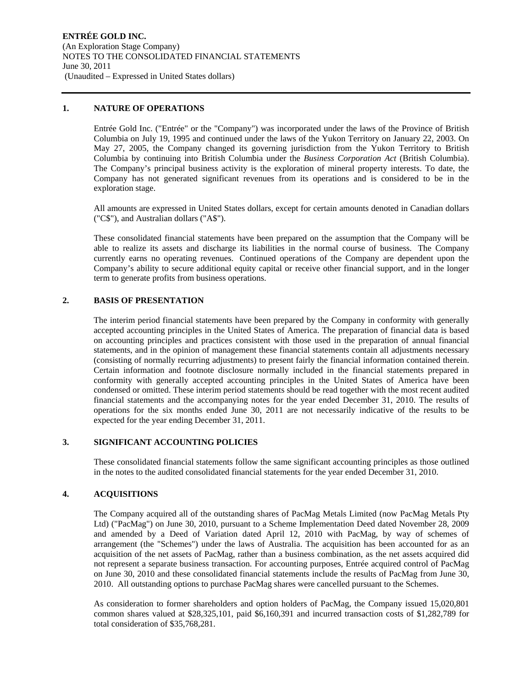#### **1. NATURE OF OPERATIONS**

Entrée Gold Inc. ("Entrée" or the "Company") was incorporated under the laws of the Province of British Columbia on July 19, 1995 and continued under the laws of the Yukon Territory on January 22, 2003. On May 27, 2005, the Company changed its governing jurisdiction from the Yukon Territory to British Columbia by continuing into British Columbia under the *Business Corporation Act* (British Columbia). The Company's principal business activity is the exploration of mineral property interests. To date, the Company has not generated significant revenues from its operations and is considered to be in the exploration stage.

All amounts are expressed in United States dollars, except for certain amounts denoted in Canadian dollars ("C\$"), and Australian dollars ("A\$").

These consolidated financial statements have been prepared on the assumption that the Company will be able to realize its assets and discharge its liabilities in the normal course of business. The Company currently earns no operating revenues. Continued operations of the Company are dependent upon the Company's ability to secure additional equity capital or receive other financial support, and in the longer term to generate profits from business operations.

### **2. BASIS OF PRESENTATION**

The interim period financial statements have been prepared by the Company in conformity with generally accepted accounting principles in the United States of America. The preparation of financial data is based on accounting principles and practices consistent with those used in the preparation of annual financial statements, and in the opinion of management these financial statements contain all adjustments necessary (consisting of normally recurring adjustments) to present fairly the financial information contained therein. Certain information and footnote disclosure normally included in the financial statements prepared in conformity with generally accepted accounting principles in the United States of America have been condensed or omitted. These interim period statements should be read together with the most recent audited financial statements and the accompanying notes for the year ended December 31, 2010. The results of operations for the six months ended June 30, 2011 are not necessarily indicative of the results to be expected for the year ending December 31, 2011.

# **3. SIGNIFICANT ACCOUNTING POLICIES**

These consolidated financial statements follow the same significant accounting principles as those outlined in the notes to the audited consolidated financial statements for the year ended December 31, 2010.

# **4. ACQUISITIONS**

The Company acquired all of the outstanding shares of PacMag Metals Limited (now PacMag Metals Pty Ltd) ("PacMag") on June 30, 2010, pursuant to a Scheme Implementation Deed dated November 28, 2009 and amended by a Deed of Variation dated April 12, 2010 with PacMag, by way of schemes of arrangement (the "Schemes") under the laws of Australia. The acquisition has been accounted for as an acquisition of the net assets of PacMag, rather than a business combination, as the net assets acquired did not represent a separate business transaction. For accounting purposes, Entrée acquired control of PacMag on June 30, 2010 and these consolidated financial statements include the results of PacMag from June 30, 2010. All outstanding options to purchase PacMag shares were cancelled pursuant to the Schemes.

As consideration to former shareholders and option holders of PacMag, the Company issued 15,020,801 common shares valued at \$28,325,101, paid \$6,160,391 and incurred transaction costs of \$1,282,789 for total consideration of \$35,768,281.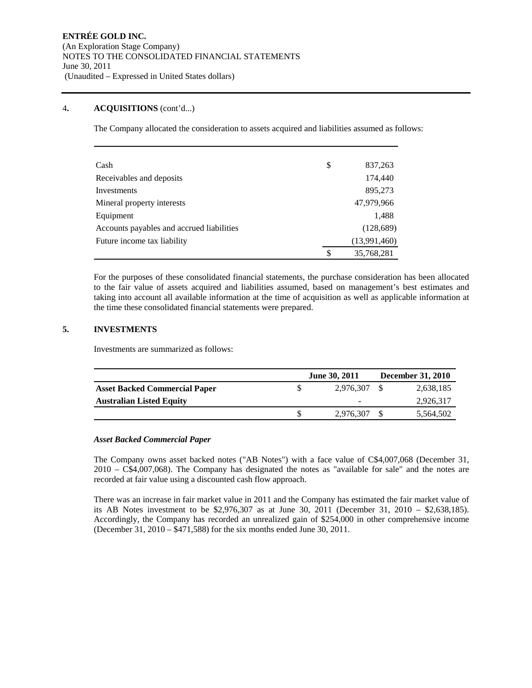# 4**. ACQUISITIONS** (cont'd...)

The Company allocated the consideration to assets acquired and liabilities assumed as follows:

| Cash                                      | \$<br>837,263    |
|-------------------------------------------|------------------|
| Receivables and deposits                  | 174,440          |
| Investments                               | 895,273          |
| Mineral property interests                | 47,979,966       |
| Equipment                                 | 1,488            |
| Accounts payables and accrued liabilities | (128, 689)       |
| Future income tax liability               | (13,991,460)     |
|                                           | \$<br>35,768,281 |

For the purposes of these consolidated financial statements, the purchase consideration has been allocated to the fair value of assets acquired and liabilities assumed, based on management's best estimates and taking into account all available information at the time of acquisition as well as applicable information at the time these consolidated financial statements were prepared.

# **5. INVESTMENTS**

Investments are summarized as follows:

|                                      | <b>June 30, 2011</b> | <b>December 31, 2010</b> |
|--------------------------------------|----------------------|--------------------------|
| <b>Asset Backed Commercial Paper</b> | 2.976.307            | 2,638,185                |
| <b>Australian Listed Equity</b>      | -                    | 2,926,317                |
|                                      | 2.976.307            | 5,564,502                |

# *Asset Backed Commercial Paper*

The Company owns asset backed notes ("AB Notes") with a face value of C\$4,007,068 (December 31, 2010 – C\$4,007,068). The Company has designated the notes as "available for sale" and the notes are recorded at fair value using a discounted cash flow approach.

There was an increase in fair market value in 2011 and the Company has estimated the fair market value of its AB Notes investment to be \$2,976,307 as at June 30, 2011 (December 31, 2010 – \$2,638,185). Accordingly, the Company has recorded an unrealized gain of \$254,000 in other comprehensive income (December 31, 2010 – \$471,588) for the six months ended June 30, 2011.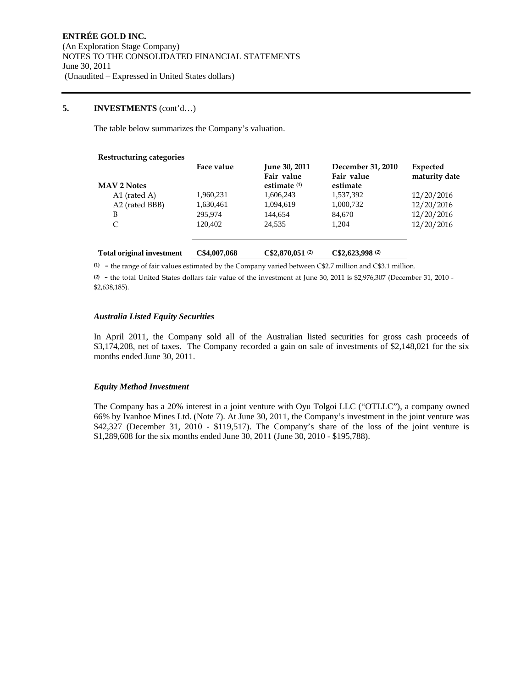## **5. INVESTMENTS** (cont'd…)

The table below summarizes the Company's valuation.

| Restructuring categories         | Face value   | <b>June 30, 2011</b><br>Fair value | December 31, 2010<br>Fair value | Expected<br>maturity date |
|----------------------------------|--------------|------------------------------------|---------------------------------|---------------------------|
| <b>MAV 2 Notes</b>               |              | estimate $(1)$                     | estimate                        |                           |
| A1 (rated A)                     | 1,960,231    | 1,606,243                          | 1,537,392                       | 12/20/2016                |
| A2 (rated BBB)                   | 1,630,461    | 1,094,619                          | 1,000,732                       | 12/20/2016                |
| B                                | 295,974      | 144,654                            | 84,670                          | 12/20/2016                |
| C                                | 120.402      | 24.535                             | 1,204                           | 12/20/2016                |
| <b>Total original investment</b> | C\$4,007,068 | C\$2.870.051(2)                    | C\$2,623,998(2)                 |                           |

**(1)** - the range of fair values estimated by the Company varied between C\$2.7 million and C\$3.1 million.

**(2)** - the total United States dollars fair value of the investment at June 30, 2011 is \$2,976,307 (December 31, 2010 - \$2,638,185).

#### *Australia Listed Equity Securities*

In April 2011, the Company sold all of the Australian listed securities for gross cash proceeds of \$3,174,208, net of taxes. The Company recorded a gain on sale of investments of \$2,148,021 for the six months ended June 30, 2011.

#### *Equity Method Investment*

The Company has a 20% interest in a joint venture with Oyu Tolgoi LLC ("OTLLC"), a company owned 66% by Ivanhoe Mines Ltd. (Note 7). At June 30, 2011, the Company's investment in the joint venture was \$42,327 (December 31, 2010 - \$119,517). The Company's share of the loss of the joint venture is \$1,289,608 for the six months ended June 30, 2011 (June 30, 2010 - \$195,788).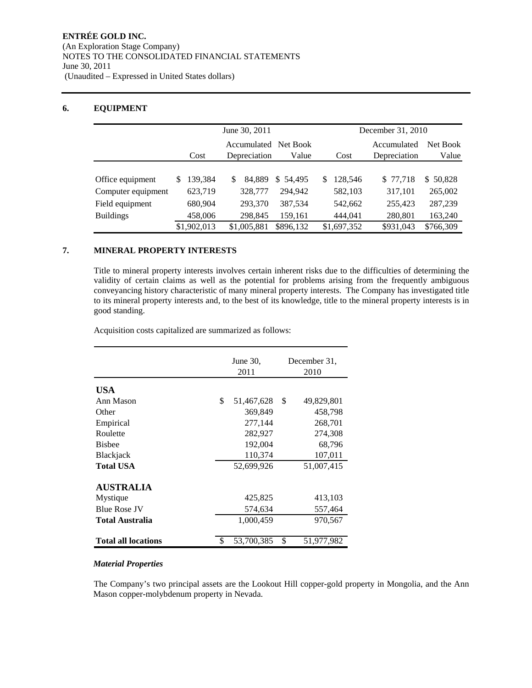# **6. EQUIPMENT**

|                    |             | June 30, 2011                           |               | December 31, 2010           |                   |  |  |
|--------------------|-------------|-----------------------------------------|---------------|-----------------------------|-------------------|--|--|
|                    | Cost        | Net Book<br>Accumulated<br>Depreciation | Value<br>Cost | Accumulated<br>Depreciation | Net Book<br>Value |  |  |
|                    |             |                                         |               |                             |                   |  |  |
| Office equipment   | 139.384     | 84.889<br>S<br>\$54,495                 | 128.546<br>S  | \$ 77,718                   | 50,828<br>S.      |  |  |
| Computer equipment | 623,719     | 328,777<br>294.942                      | 582,103       | 317,101                     | 265,002           |  |  |
| Field equipment    | 680,904     | 293,370<br>387,534                      | 542,662       | 255,423                     | 287,239           |  |  |
| <b>Buildings</b>   | 458,006     | 298,845<br>159,161                      | 444,041       | 280,801                     | 163,240           |  |  |
|                    | \$1,902,013 | \$1,005,881<br>\$896,132                | \$1,697,352   | \$931,043                   | \$766,309         |  |  |

# **7. MINERAL PROPERTY INTERESTS**

Title to mineral property interests involves certain inherent risks due to the difficulties of determining the validity of certain claims as well as the potential for problems arising from the frequently ambiguous conveyancing history characteristic of many mineral property interests. The Company has investigated title to its mineral property interests and, to the best of its knowledge, title to the mineral property interests is in good standing.

Acquisition costs capitalized are summarized as follows:

|                            | June $30$ ,<br>2011 | December 31.<br>2010 |
|----------------------------|---------------------|----------------------|
| USA                        |                     |                      |
| Ann Mason                  | \$<br>51,467,628    | \$<br>49,829,801     |
| Other                      | 369,849             | 458,798              |
| Empirical                  | 277,144             | 268,701              |
| Roulette                   | 282,927             | 274,308              |
| <b>Bishee</b>              | 192,004             | 68,796               |
| Blackjack                  | 110,374             | 107,011              |
| <b>Total USA</b>           | 52,699,926          | 51,007,415           |
| <b>AUSTRALIA</b>           |                     |                      |
| Mystique                   | 425,825             | 413,103              |
| <b>Blue Rose JV</b>        | 574,634             | 557,464              |
| Total Australia            | 1,000,459           | 970,567              |
| <b>Total all locations</b> | \$<br>53,700,385    | \$<br>51,977,982     |

# *Material Properties*

The Company's two principal assets are the Lookout Hill copper-gold property in Mongolia, and the Ann Mason copper-molybdenum property in Nevada.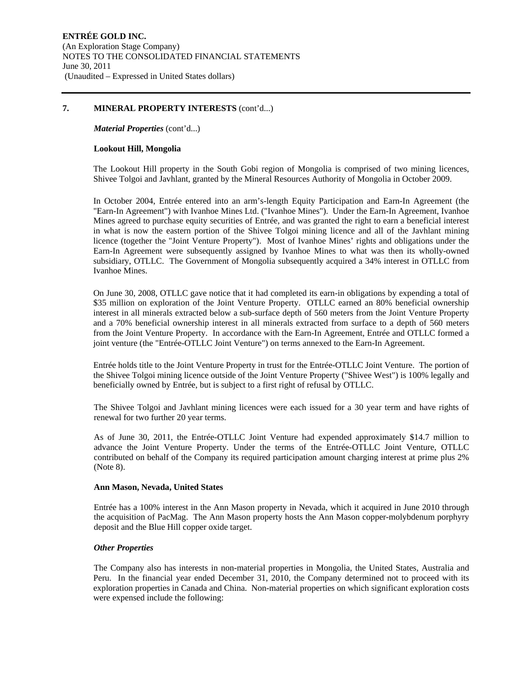#### **7. MINERAL PROPERTY INTERESTS** (cont'd...)

*Material Properties* (cont'd...)

#### **Lookout Hill, Mongolia**

The Lookout Hill property in the South Gobi region of Mongolia is comprised of two mining licences, Shivee Tolgoi and Javhlant, granted by the Mineral Resources Authority of Mongolia in October 2009.

In October 2004, Entrée entered into an arm's-length Equity Participation and Earn-In Agreement (the "Earn-In Agreement") with Ivanhoe Mines Ltd. ("Ivanhoe Mines"). Under the Earn-In Agreement, Ivanhoe Mines agreed to purchase equity securities of Entrée, and was granted the right to earn a beneficial interest in what is now the eastern portion of the Shivee Tolgoi mining licence and all of the Javhlant mining licence (together the "Joint Venture Property"). Most of Ivanhoe Mines' rights and obligations under the Earn-In Agreement were subsequently assigned by Ivanhoe Mines to what was then its wholly-owned subsidiary, OTLLC. The Government of Mongolia subsequently acquired a 34% interest in OTLLC from Ivanhoe Mines.

On June 30, 2008, OTLLC gave notice that it had completed its earn-in obligations by expending a total of \$35 million on exploration of the Joint Venture Property. OTLLC earned an 80% beneficial ownership interest in all minerals extracted below a sub-surface depth of 560 meters from the Joint Venture Property and a 70% beneficial ownership interest in all minerals extracted from surface to a depth of 560 meters from the Joint Venture Property. In accordance with the Earn-In Agreement, Entrée and OTLLC formed a joint venture (the "Entrée-OTLLC Joint Venture") on terms annexed to the Earn-In Agreement.

Entrée holds title to the Joint Venture Property in trust for the Entrée-OTLLC Joint Venture. The portion of the Shivee Tolgoi mining licence outside of the Joint Venture Property ("Shivee West") is 100% legally and beneficially owned by Entrée, but is subject to a first right of refusal by OTLLC.

The Shivee Tolgoi and Javhlant mining licences were each issued for a 30 year term and have rights of renewal for two further 20 year terms.

As of June 30, 2011, the Entrée-OTLLC Joint Venture had expended approximately \$14.7 million to advance the Joint Venture Property. Under the terms of the Entrée-OTLLC Joint Venture, OTLLC contributed on behalf of the Company its required participation amount charging interest at prime plus 2% (Note 8).

#### **Ann Mason, Nevada, United States**

Entrée has a 100% interest in the Ann Mason property in Nevada, which it acquired in June 2010 through the acquisition of PacMag. The Ann Mason property hosts the Ann Mason copper-molybdenum porphyry deposit and the Blue Hill copper oxide target.

#### *Other Properties*

The Company also has interests in non-material properties in Mongolia, the United States, Australia and Peru. In the financial year ended December 31, 2010, the Company determined not to proceed with its exploration properties in Canada and China. Non-material properties on which significant exploration costs were expensed include the following: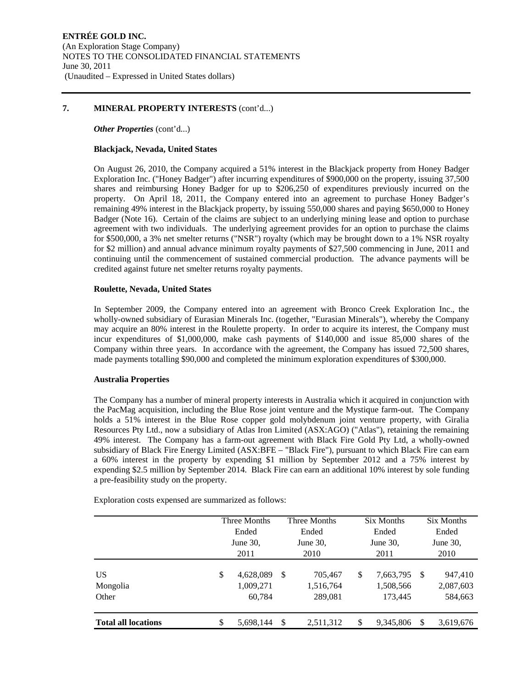#### **7. MINERAL PROPERTY INTERESTS** (cont'd...)

#### *Other Properties (cont'd...)*

#### **Blackjack, Nevada, United States**

On August 26, 2010, the Company acquired a 51% interest in the Blackjack property from Honey Badger Exploration Inc. ("Honey Badger") after incurring expenditures of \$900,000 on the property, issuing 37,500 shares and reimbursing Honey Badger for up to \$206,250 of expenditures previously incurred on the property. On April 18, 2011, the Company entered into an agreement to purchase Honey Badger's remaining 49% interest in the Blackjack property, by issuing 550,000 shares and paying \$650,000 to Honey Badger (Note 16). Certain of the claims are subject to an underlying mining lease and option to purchase agreement with two individuals. The underlying agreement provides for an option to purchase the claims for \$500,000, a 3% net smelter returns ("NSR") royalty (which may be brought down to a 1% NSR royalty for \$2 million) and annual advance minimum royalty payments of \$27,500 commencing in June, 2011 and continuing until the commencement of sustained commercial production. The advance payments will be credited against future net smelter returns royalty payments.

#### **Roulette, Nevada, United States**

In September 2009, the Company entered into an agreement with Bronco Creek Exploration Inc., the wholly-owned subsidiary of Eurasian Minerals Inc. (together, "Eurasian Minerals"), whereby the Company may acquire an 80% interest in the Roulette property. In order to acquire its interest, the Company must incur expenditures of \$1,000,000, make cash payments of \$140,000 and issue 85,000 shares of the Company within three years. In accordance with the agreement, the Company has issued 72,500 shares, made payments totalling \$90,000 and completed the minimum exploration expenditures of \$300,000.

#### **Australia Properties**

The Company has a number of mineral property interests in Australia which it acquired in conjunction with the PacMag acquisition, including the Blue Rose joint venture and the Mystique farm-out. The Company holds a 51% interest in the Blue Rose copper gold molybdenum joint venture property, with Giralia Resources Pty Ltd., now a subsidiary of Atlas Iron Limited (ASX:AGO) ("Atlas"), retaining the remaining 49% interest. The Company has a farm-out agreement with Black Fire Gold Pty Ltd, a wholly-owned subsidiary of Black Fire Energy Limited (ASX:BFE – "Black Fire"), pursuant to which Black Fire can earn a 60% interest in the property by expending \$1 million by September 2012 and a 75% interest by expending \$2.5 million by September 2014. Black Fire can earn an additional 10% interest by sole funding a pre-feasibility study on the property.

Exploration costs expensed are summarized as follows:

|                                      |    | Three Months                     |               | Three Months                    | Six Months                              |    | Six Months                      |
|--------------------------------------|----|----------------------------------|---------------|---------------------------------|-----------------------------------------|----|---------------------------------|
|                                      |    | Ended                            |               | Ended                           | Ended                                   |    | Ended                           |
|                                      |    | June $30$ ,                      |               | June 30,                        | June 30,                                |    | June $30$ .                     |
|                                      |    | 2011                             |               | 2010                            | 2011                                    |    | 2010                            |
| US <sup>-</sup><br>Mongolia<br>Other | S  | 4,628,089<br>1,009,271<br>60,784 | <sup>\$</sup> | 705,467<br>1,516,764<br>289.081 | \$<br>7,663,795<br>1,508,566<br>173,445 | -S | 947,410<br>2,087,603<br>584,663 |
| <b>Total all locations</b>           | \$ | 5.698.144                        | -\$           | 2,511,312                       | \$<br>9,345,806                         | \$ | 3,619,676                       |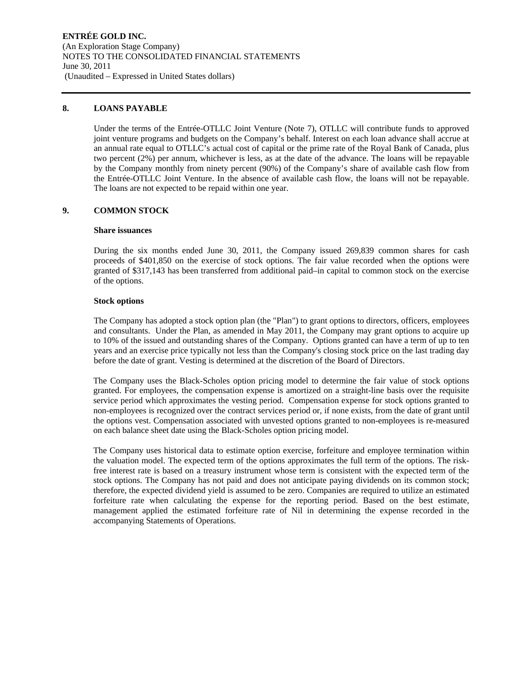# **8. LOANS PAYABLE**

Under the terms of the Entrée-OTLLC Joint Venture (Note 7), OTLLC will contribute funds to approved joint venture programs and budgets on the Company's behalf. Interest on each loan advance shall accrue at an annual rate equal to OTLLC's actual cost of capital or the prime rate of the Royal Bank of Canada, plus two percent (2%) per annum, whichever is less, as at the date of the advance. The loans will be repayable by the Company monthly from ninety percent (90%) of the Company's share of available cash flow from the Entrée-OTLLC Joint Venture. In the absence of available cash flow, the loans will not be repayable. The loans are not expected to be repaid within one year.

# **9. COMMON STOCK**

#### **Share issuances**

During the six months ended June 30, 2011, the Company issued 269,839 common shares for cash proceeds of \$401,850 on the exercise of stock options. The fair value recorded when the options were granted of \$317,143 has been transferred from additional paid–in capital to common stock on the exercise of the options.

#### **Stock options**

The Company has adopted a stock option plan (the "Plan") to grant options to directors, officers, employees and consultants. Under the Plan, as amended in May 2011, the Company may grant options to acquire up to 10% of the issued and outstanding shares of the Company. Options granted can have a term of up to ten years and an exercise price typically not less than the Company's closing stock price on the last trading day before the date of grant. Vesting is determined at the discretion of the Board of Directors.

The Company uses the Black-Scholes option pricing model to determine the fair value of stock options granted. For employees, the compensation expense is amortized on a straight-line basis over the requisite service period which approximates the vesting period. Compensation expense for stock options granted to non-employees is recognized over the contract services period or, if none exists, from the date of grant until the options vest. Compensation associated with unvested options granted to non-employees is re-measured on each balance sheet date using the Black-Scholes option pricing model.

The Company uses historical data to estimate option exercise, forfeiture and employee termination within the valuation model. The expected term of the options approximates the full term of the options. The riskfree interest rate is based on a treasury instrument whose term is consistent with the expected term of the stock options. The Company has not paid and does not anticipate paying dividends on its common stock; therefore, the expected dividend yield is assumed to be zero. Companies are required to utilize an estimated forfeiture rate when calculating the expense for the reporting period. Based on the best estimate, management applied the estimated forfeiture rate of Nil in determining the expense recorded in the accompanying Statements of Operations.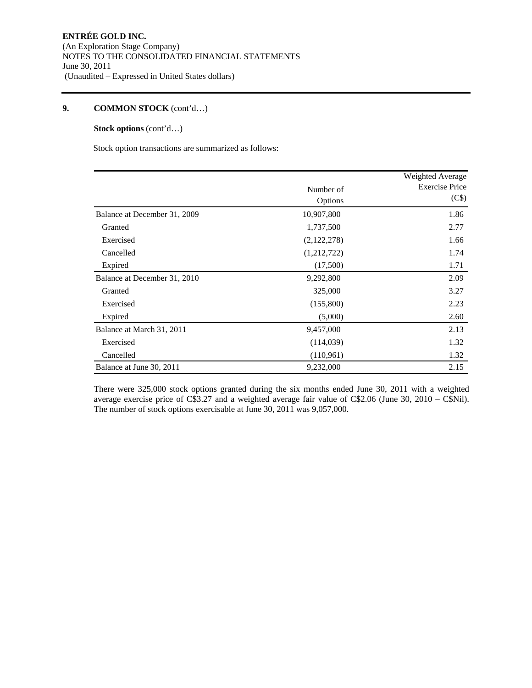# **9. COMMON STOCK** (cont'd…)

# **Stock options** (cont'd…)

Stock option transactions are summarized as follows:

|                              |             | Weighted Average      |
|------------------------------|-------------|-----------------------|
|                              | Number of   | <b>Exercise Price</b> |
|                              | Options     | (C\$)                 |
| Balance at December 31, 2009 | 10,907,800  | 1.86                  |
| Granted                      | 1,737,500   | 2.77                  |
| Exercised                    | (2,122,278) | 1.66                  |
| Cancelled                    | (1,212,722) | 1.74                  |
| Expired                      | (17,500)    | 1.71                  |
| Balance at December 31, 2010 | 9,292,800   | 2.09                  |
| Granted                      | 325,000     | 3.27                  |
| Exercised                    | (155,800)   | 2.23                  |
| Expired                      | (5,000)     | 2.60                  |
| Balance at March 31, 2011    | 9,457,000   | 2.13                  |
| Exercised                    | (114, 039)  | 1.32                  |
| Cancelled                    | (110,961)   | 1.32                  |
| Balance at June 30, 2011     | 9,232,000   | 2.15                  |

There were 325,000 stock options granted during the six months ended June 30, 2011 with a weighted average exercise price of C\$3.27 and a weighted average fair value of C\$2.06 (June 30, 2010 – C\$Nil). The number of stock options exercisable at June 30, 2011 was 9,057,000.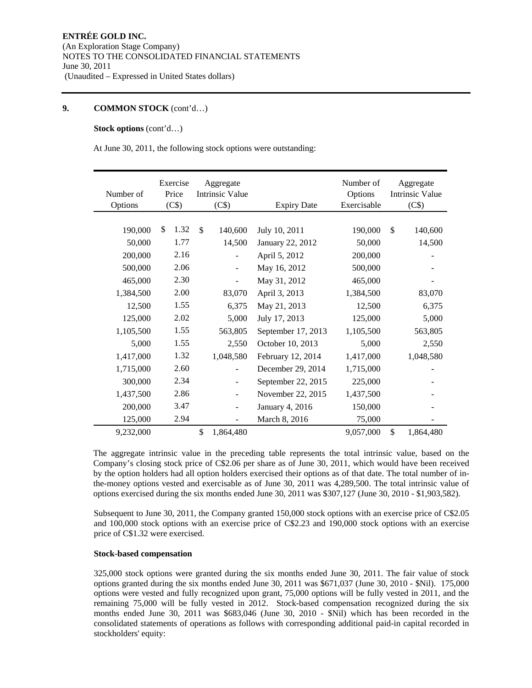# **9. COMMON STOCK** (cont'd…)

## **Stock options** (cont'd…)

At June 30, 2011, the following stock options were outstanding:

| Number of<br>Options | Exercise<br>Price<br>(C\$) | Aggregate<br><b>Intrinsic Value</b><br>(C\$) | <b>Expiry Date</b> | Number of<br>Options<br>Exercisable | Aggregate<br><b>Intrinsic Value</b><br>(C\$) |
|----------------------|----------------------------|----------------------------------------------|--------------------|-------------------------------------|----------------------------------------------|
|                      |                            |                                              |                    |                                     |                                              |
| 190,000              | 1.32<br>\$                 | \$<br>140,600                                | July 10, 2011      | 190,000                             | \$<br>140,600                                |
| 50,000               | 1.77                       | 14,500                                       | January 22, 2012   | 50,000                              | 14,500                                       |
| 200,000              | 2.16                       |                                              | April 5, 2012      | 200,000                             |                                              |
| 500,000              | 2.06                       |                                              | May 16, 2012       | 500,000                             |                                              |
| 465,000              | 2.30                       |                                              | May 31, 2012       | 465,000                             |                                              |
| 1,384,500            | 2.00                       | 83,070                                       | April 3, 2013      | 1,384,500                           | 83,070                                       |
| 12,500               | 1.55                       | 6,375                                        | May 21, 2013       | 12,500                              | 6,375                                        |
| 125,000              | 2.02                       | 5,000                                        | July 17, 2013      | 125,000                             | 5,000                                        |
| 1,105,500            | 1.55                       | 563,805                                      | September 17, 2013 | 1,105,500                           | 563,805                                      |
| 5,000                | 1.55                       | 2,550                                        | October 10, 2013   | 5,000                               | 2,550                                        |
| 1,417,000            | 1.32                       | 1,048,580                                    | February 12, 2014  | 1,417,000                           | 1,048,580                                    |
| 1,715,000            | 2.60                       |                                              | December 29, 2014  | 1,715,000                           |                                              |
| 300,000              | 2.34                       | $\overline{\phantom{0}}$                     | September 22, 2015 | 225,000                             |                                              |
| 1,437,500            | 2.86                       |                                              | November 22, 2015  | 1,437,500                           |                                              |
| 200,000              | 3.47                       | $\overline{\phantom{0}}$                     | January 4, 2016    | 150,000                             |                                              |
| 125,000              | 2.94                       |                                              | March 8, 2016      | 75,000                              |                                              |
| 9,232,000            |                            | \$<br>1,864,480                              |                    | 9,057,000                           | \$<br>1,864,480                              |

The aggregate intrinsic value in the preceding table represents the total intrinsic value, based on the Company's closing stock price of C\$2.06 per share as of June 30, 2011, which would have been received by the option holders had all option holders exercised their options as of that date. The total number of inthe-money options vested and exercisable as of June 30, 2011 was 4,289,500. The total intrinsic value of options exercised during the six months ended June 30, 2011 was \$307,127 (June 30, 2010 - \$1,903,582).

Subsequent to June 30, 2011, the Company granted 150,000 stock options with an exercise price of C\$2.05 and 100,000 stock options with an exercise price of C\$2.23 and 190,000 stock options with an exercise price of C\$1.32 were exercised.

### **Stock-based compensation**

325,000 stock options were granted during the six months ended June 30, 2011. The fair value of stock options granted during the six months ended June 30, 2011 was \$671,037 (June 30, 2010 - \$Nil). 175,000 options were vested and fully recognized upon grant, 75,000 options will be fully vested in 2011, and the remaining 75,000 will be fully vested in 2012. Stock-based compensation recognized during the six months ended June 30, 2011 was \$683,046 (June 30, 2010 - \$Nil) which has been recorded in the consolidated statements of operations as follows with corresponding additional paid-in capital recorded in stockholders' equity: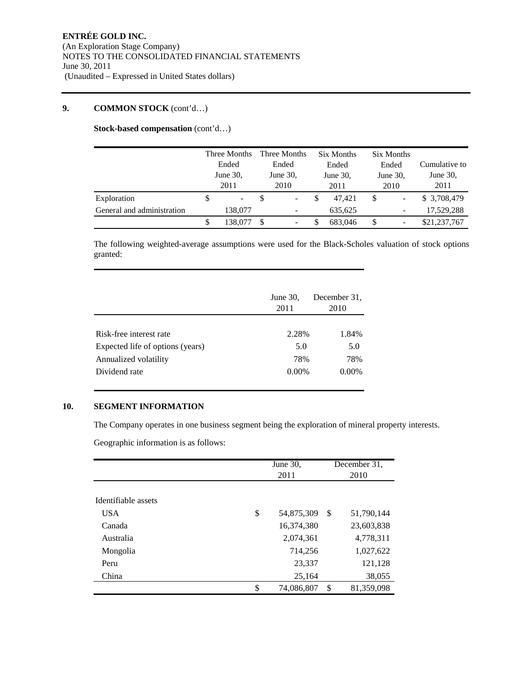## **9. COMMON STOCK** (cont'd…)

**Stock-based compensation** (cont'd…)

|                            |                   | Three Months             | Three Months             |                          | Six Months |          |      | Six Months |               |  |
|----------------------------|-------------------|--------------------------|--------------------------|--------------------------|------------|----------|------|------------|---------------|--|
|                            | Ended<br>June 30, |                          | Ended<br>June 30,        |                          | Ended      |          |      | Ended      | Cumulative to |  |
|                            |                   |                          |                          |                          |            | June 30, |      | June 30,   | June 30,      |  |
|                            |                   | 2011                     |                          | 2010                     | 2011       |          | 2010 |            | 2011          |  |
| Exploration                |                   | $\overline{\phantom{a}}$ |                          | $\blacksquare$           |            | 47.421   | \$   |            | \$ 3,708,479  |  |
| General and administration |                   | 138,077                  | $\overline{\phantom{a}}$ |                          |            | 635.625  |      |            | 17.529.288    |  |
|                            |                   | 138.077                  | -S                       | $\overline{\phantom{a}}$ | S          | 683,046  | \$   |            | \$21,237,767  |  |

The following weighted-average assumptions were used for the Black-Scholes valuation of stock options granted:

|                                  | June $30$ ,<br>2011 | December 31,<br>2010 |
|----------------------------------|---------------------|----------------------|
|                                  |                     |                      |
| Risk-free interest rate          | 2.28%               | 1.84%                |
| Expected life of options (years) | 5.0                 | 5.0                  |
| Annualized volatility            | 78%                 | 78%                  |
| Dividend rate                    | $0.00\%$            | $0.00\%$             |

# **10. SEGMENT INFORMATION**

The Company operates in one business segment being the exploration of mineral property interests.

Geographic information is as follows:

|                     | June 30,<br>2011 |    | December 31,<br>2010 |
|---------------------|------------------|----|----------------------|
|                     |                  |    |                      |
| Identifiable assets |                  |    |                      |
| <b>USA</b>          | \$<br>54,875,309 | \$ | 51,790,144           |
| Canada              | 16,374,380       |    | 23,603,838           |
| Australia           | 2,074,361        |    | 4,778,311            |
| Mongolia            | 714,256          |    | 1,027,622            |
| Peru                | 23,337           |    | 121,128              |
| China               | 25,164           |    | 38,055               |
|                     | \$<br>74,086,807 | \$ | 81,359,098           |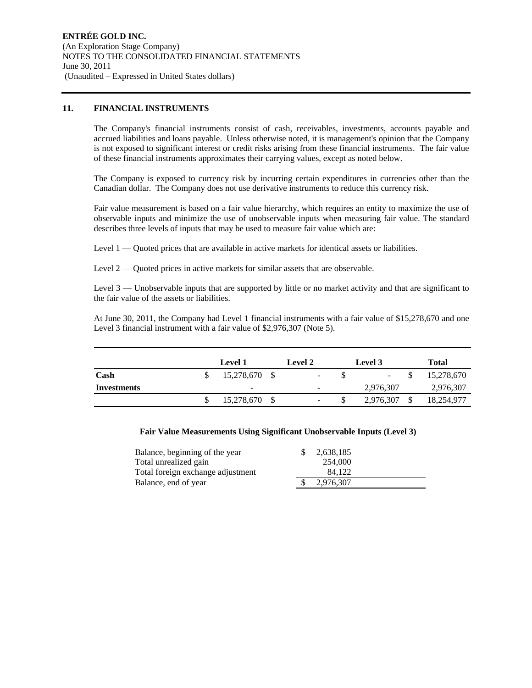### **11. FINANCIAL INSTRUMENTS**

The Company's financial instruments consist of cash, receivables, investments, accounts payable and accrued liabilities and loans payable. Unless otherwise noted, it is management's opinion that the Company is not exposed to significant interest or credit risks arising from these financial instruments. The fair value of these financial instruments approximates their carrying values, except as noted below.

The Company is exposed to currency risk by incurring certain expenditures in currencies other than the Canadian dollar. The Company does not use derivative instruments to reduce this currency risk.

Fair value measurement is based on a fair value hierarchy, which requires an entity to maximize the use of observable inputs and minimize the use of unobservable inputs when measuring fair value. The standard describes three levels of inputs that may be used to measure fair value which are:

Level 1 — Quoted prices that are available in active markets for identical assets or liabilities.

Level 2 — Quoted prices in active markets for similar assets that are observable.

Level 3 — Unobservable inputs that are supported by little or no market activity and that are significant to the fair value of the assets or liabilities.

At June 30, 2011, the Company had Level 1 financial instruments with a fair value of \$15,278,670 and one Level 3 financial instrument with a fair value of \$2,976,307 (Note 5).

|             | <b>Level 1</b> | <b>Level 2</b>           | <b>Level</b> 3           | Total      |
|-------------|----------------|--------------------------|--------------------------|------------|
| Cash        | 15,278,670 \$  | $\overline{\phantom{a}}$ | $\overline{\phantom{a}}$ | 15,278,670 |
| Investments | -              | $\overline{\phantom{a}}$ | 2,976,307                | 2,976,307  |
|             | 15,278,670     | $\overline{\phantom{a}}$ | 2,976,307                | 18,254,977 |

| <b>Fair Value Measurements Using Significant Unobservable Inputs (Level 3)</b> |  |  |
|--------------------------------------------------------------------------------|--|--|
|                                                                                |  |  |

| Balance, beginning of the year    | 2,638,185 |  |
|-----------------------------------|-----------|--|
| Total unrealized gain             | 254,000   |  |
| Total foreign exchange adjustment | 84.122    |  |
| Balance, end of year              | 2,976,307 |  |
|                                   |           |  |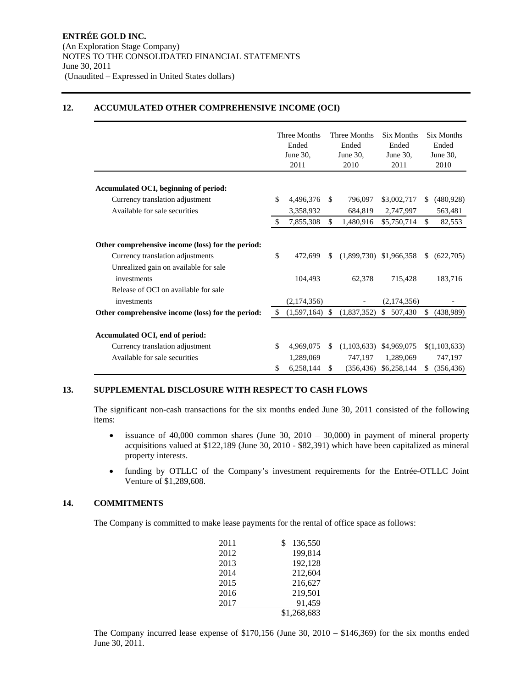# **12. ACCUMULATED OTHER COMPREHENSIVE INCOME (OCI)**

|                                                   | Three Months<br>Ended<br>June $30$ .<br>2011 | Three Months<br>Ended<br>June 30,<br>2010 |             | <b>Six Months</b><br>Ended<br>June 30,<br>2011 |    | <b>Six Months</b><br>Ended<br>June 30,<br>2010 |
|---------------------------------------------------|----------------------------------------------|-------------------------------------------|-------------|------------------------------------------------|----|------------------------------------------------|
|                                                   |                                              |                                           |             |                                                |    |                                                |
| Accumulated OCI, beginning of period:             | \$                                           | \$.                                       | 796,097     |                                                | S. |                                                |
| Currency translation adjustment                   | 4,496,376                                    |                                           |             | \$3,002,717                                    |    | (480, 928)                                     |
| Available for sale securities                     | 3,358,932                                    |                                           | 684,819     | 2,747,997                                      |    | 563,481                                        |
|                                                   | 7,855,308                                    | \$.                                       | 1,480,916   | \$5,750,714                                    | \$ | 82,553                                         |
| Other comprehensive income (loss) for the period: |                                              |                                           |             |                                                |    |                                                |
| Currency translation adjustments                  | \$<br>472,699                                | \$                                        |             | $(1,899,730)$ \$1,966,358                      | \$ | (622,705)                                      |
| Unrealized gain on available for sale             |                                              |                                           |             |                                                |    |                                                |
| investments                                       | 104,493                                      |                                           | 62,378      | 715,428                                        |    | 183,716                                        |
| Release of OCI on available for sale              |                                              |                                           |             |                                                |    |                                                |
| investments                                       | (2,174,356)                                  |                                           |             | (2,174,356)                                    |    |                                                |
| Other comprehensive income (loss) for the period: | \$<br>(1,597,164)                            | \$                                        | (1,837,352) | \$<br>507,430                                  | \$ | (438,989)                                      |
|                                                   |                                              |                                           |             |                                                |    |                                                |
| Accumulated OCI, end of period:                   |                                              |                                           |             |                                                |    |                                                |
| Currency translation adjustment                   | \$<br>4,969,075                              | S                                         | (1,103,633) | \$4,969,075                                    |    | \$(1,103,633)                                  |
| Available for sale securities                     | 1,289,069                                    |                                           | 747.197     | 1,289,069                                      |    | 747,197                                        |
|                                                   | \$<br>6,258,144                              | \$                                        | (356, 436)  | \$6,258,144                                    | \$ | (356, 436)                                     |

#### **13. SUPPLEMENTAL DISCLOSURE WITH RESPECT TO CASH FLOWS**

The significant non-cash transactions for the six months ended June 30, 2011 consisted of the following items:

- issuance of 40,000 common shares (June 30, 2010 30,000) in payment of mineral property acquisitions valued at \$122,189 (June 30, 2010 - \$82,391) which have been capitalized as mineral property interests.
- funding by OTLLC of the Company's investment requirements for the Entrée-OTLLC Joint Venture of \$1,289,608.

## **14. COMMITMENTS**

The Company is committed to make lease payments for the rental of office space as follows:

| 2011 | 136,550     |
|------|-------------|
| 2012 | 199,814     |
| 2013 | 192,128     |
| 2014 | 212,604     |
| 2015 | 216,627     |
| 2016 | 219,501     |
| 2017 | 91,459      |
|      | \$1,268,683 |

The Company incurred lease expense of \$170,156 (June 30, 2010 – \$146,369) for the six months ended June 30, 2011.